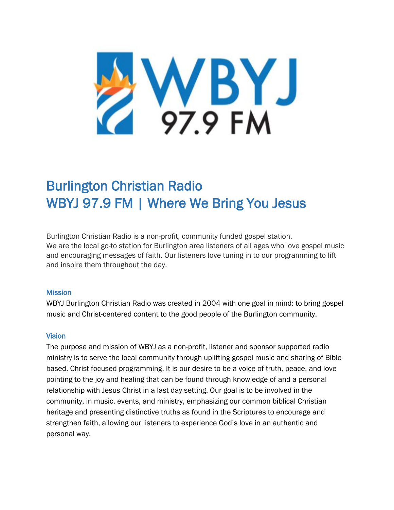

# Burlington Christian Radio WBYJ 97.9 FM | Where We Bring You Jesus

Burlington Christian Radio is a non-profit, community funded gospel station. We are the local go-to station for Burlington area listeners of all ages who love gospel music and encouraging messages of faith. Our listeners love tuning in to our programming to lift and inspire them throughout the day.

#### **Mission**

WBYJ Burlington Christian Radio was created in 2004 with one goal in mind: to bring gospel music and Christ-centered content to the good people of the Burlington community.

#### **Vision**

The purpose and mission of WBYJ as a non-profit, listener and sponsor supported radio ministry is to serve the local community through uplifting gospel music and sharing of Biblebased, Christ focused programming. It is our desire to be a voice of truth, peace, and love pointing to the joy and healing that can be found through knowledge of and a personal relationship with Jesus Christ in a last day setting. Our goal is to be involved in the community, in music, events, and ministry, emphasizing our common biblical Christian heritage and presenting distinctive truths as found in the Scriptures to encourage and strengthen faith, allowing our listeners to experience God's love in an authentic and personal way.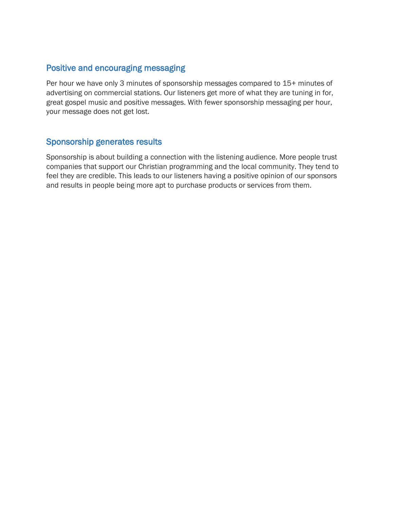## Positive and encouraging messaging

Per hour we have only 3 minutes of sponsorship messages compared to 15+ minutes of advertising on commercial stations. Our listeners get more of what they are tuning in for, great gospel music and positive messages. With fewer sponsorship messaging per hour, your message does not get lost.

## Sponsorship generates results

Sponsorship is about building a connection with the listening audience. More people trust companies that support our Christian programming and the local community. They tend to feel they are credible. This leads to our listeners having a positive opinion of our sponsors and results in people being more apt to purchase products or services from them.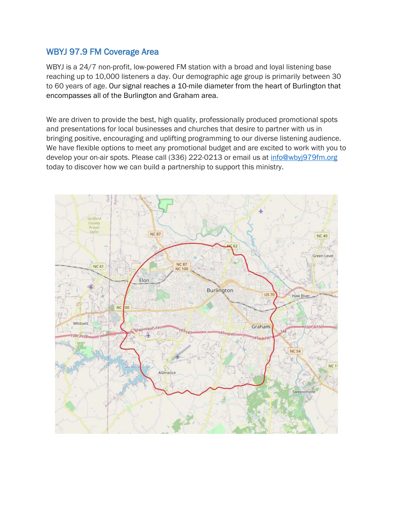## WBYJ 97.9 FM Coverage Area

WBYJ is a 24/7 non-profit, low-powered FM station with a broad and loyal listening base reaching up to 10,000 listeners a day. Our demographic age group is primarily between 30 to 60 years of age. Our signal reaches a 10-mile diameter from the heart of Burlington that encompasses all of the Burlington and Graham area.

We are driven to provide the best, high quality, professionally produced promotional spots and presentations for local businesses and churches that desire to partner with us in bringing positive, encouraging and uplifting programming to our diverse listening audience. We have flexible options to meet any promotional budget and are excited to work with you to develop your on-air spots. Please call (336) 222-0213 or email us at [info@wbyj979fm.org](mailto:info@wbyj979fm.org) today to discover how we can build a partnership to support this ministry.

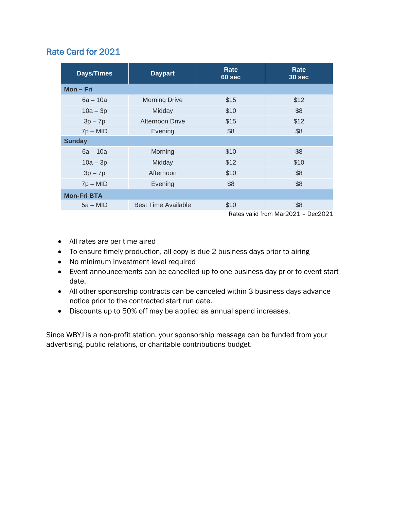## Rate Card for 2021

| <b>Days/Times</b>  | <b>Daypart</b>                     | <b>Rate</b><br>60 sec | Rate<br>30 sec |
|--------------------|------------------------------------|-----------------------|----------------|
| Mon-Fri            |                                    |                       |                |
| $6a - 10a$         | <b>Morning Drive</b>               | \$15                  | \$12           |
| $10a - 3p$         | Midday                             | \$10                  | \$8            |
| $3p - 7p$          | Afternoon Drive                    | \$15                  | \$12           |
| $7p - MID$         | Evening                            | \$8                   | \$8            |
| <b>Sunday</b>      |                                    |                       |                |
| $6a - 10a$         | Morning                            | \$10                  | \$8            |
| $10a - 3p$         | Midday                             | \$12                  | \$10           |
| $3p - 7p$          | Afternoon                          | \$10                  | \$8            |
| $7p - MID$         | Evening                            | \$8                   | \$8            |
| <b>Mon-Fri BTA</b> |                                    |                       |                |
| $5a - MID$         | <b>Best Time Available</b>         | \$10                  | \$8            |
|                    | Rates valid from Mar2021 - Dec2021 |                       |                |

- All rates are per time aired
- To ensure timely production, all copy is due 2 business days prior to airing
- No minimum investment level required
- Event announcements can be cancelled up to one business day prior to event start date.
- All other sponsorship contracts can be canceled within 3 business days advance notice prior to the contracted start run date.
- Discounts up to 50% off may be applied as annual spend increases.

Since WBYJ is a non-profit station, your sponsorship message can be funded from your advertising, public relations, or charitable contributions budget.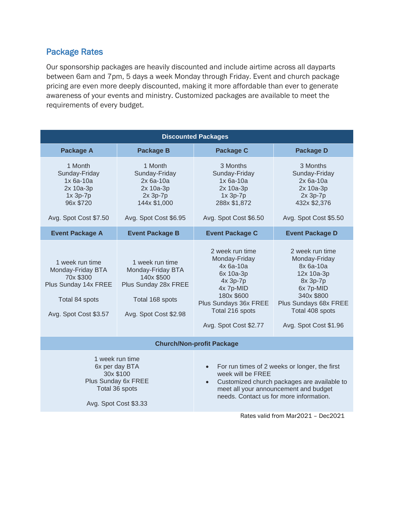# Package Rates

Our sponsorship packages are heavily discounted and include airtime across all dayparts between 6am and 7pm, 5 days a week Monday through Friday. Event and church package pricing are even more deeply discounted, making it more affordable than ever to generate awareness of your events and ministry. Customized packages are available to meet the requirements of every budget.

| <b>Discounted Packages</b>                                                                                           |                                                                                                                        |                                                                                                                                                                                                                                 |                                                                                                                                                                         |  |  |
|----------------------------------------------------------------------------------------------------------------------|------------------------------------------------------------------------------------------------------------------------|---------------------------------------------------------------------------------------------------------------------------------------------------------------------------------------------------------------------------------|-------------------------------------------------------------------------------------------------------------------------------------------------------------------------|--|--|
| <b>Package A</b>                                                                                                     | <b>Package B</b>                                                                                                       | <b>Package C</b>                                                                                                                                                                                                                | <b>Package D</b>                                                                                                                                                        |  |  |
| 1 Month<br>Sunday-Friday<br>$1x$ 6a-10a<br>2x 10a-3p<br>$1x$ 3p- $7p$<br>96x \$720<br>Avg. Spot Cost \$7.50          | 1 Month<br>Sunday-Friday<br>$2x$ 6a-10a<br>2x 10a-3p<br>2x 3p-7p<br>144x \$1,000<br>Avg. Spot Cost \$6.95              | 3 Months<br>Sunday-Friday<br>$1x$ 6a-10a<br>2x 10a-3p<br>$1x$ 3p- $7p$<br>288x \$1,872<br>Avg. Spot Cost \$6.50                                                                                                                 | 3 Months<br>Sunday-Friday<br>$2x$ 6a-10a<br>2x 10a-3p<br>2x 3p-7p<br>432x \$2,376<br>Avg. Spot Cost \$5.50                                                              |  |  |
| <b>Event Package A</b>                                                                                               | <b>Event Package B</b>                                                                                                 | <b>Event Package C</b>                                                                                                                                                                                                          | <b>Event Package D</b>                                                                                                                                                  |  |  |
| 1 week run time<br>Monday-Friday BTA<br>70x \$300<br>Plus Sunday 14x FREE<br>Total 84 spots<br>Avg. Spot Cost \$3.57 | 1 week run time<br>Monday-Friday BTA<br>140x \$500<br>Plus Sunday 28x FREE<br>Total 168 spots<br>Avg. Spot Cost \$2.98 | 2 week run time<br>Monday-Friday<br>4x 6a-10a<br>6x 10a-3p<br>4x 3p-7p<br>4x 7p-MID<br>180x \$600<br>Plus Sundays 36x FREE<br>Total 216 spots<br>Avg. Spot Cost \$2.77                                                          | 2 week run time<br>Monday-Friday<br>8x 6a-10a<br>12x 10a-3p<br>8x 3p-7p<br>6x 7p-MID<br>340x \$800<br>Plus Sundays 68x FREE<br>Total 408 spots<br>Avg. Spot Cost \$1.96 |  |  |
| <b>Church/Non-profit Package</b>                                                                                     |                                                                                                                        |                                                                                                                                                                                                                                 |                                                                                                                                                                         |  |  |
| 1 week run time<br>6x per day BTA<br>30x \$100<br>Plus Sunday 6x FREE<br>Total 36 spots<br>Avg. Spot Cost \$3.33     |                                                                                                                        | For run times of 2 weeks or longer, the first<br>$\bullet$<br>week will be FREE<br>Customized church packages are available to<br>$\bullet$<br>meet all your announcement and budget<br>needs. Contact us for more information. |                                                                                                                                                                         |  |  |
|                                                                                                                      |                                                                                                                        |                                                                                                                                                                                                                                 | Rates valid from Mar2021 - Dec2021                                                                                                                                      |  |  |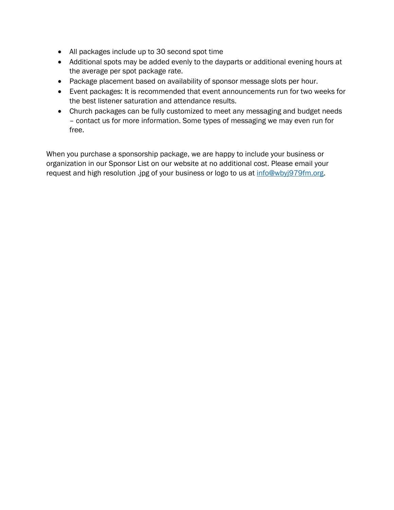- All packages include up to 30 second spot time
- Additional spots may be added evenly to the dayparts or additional evening hours at the average per spot package rate.
- Package placement based on availability of sponsor message slots per hour.
- Event packages: It is recommended that event announcements run for two weeks for the best listener saturation and attendance results.
- Church packages can be fully customized to meet any messaging and budget needs – contact us for more information. Some types of messaging we may even run for free.

When you purchase a sponsorship package, we are happy to include your business or organization in our Sponsor List on our website at no additional cost. Please email your request and high resolution .jpg of your business or logo to us at [info@wbyj979fm.org.](mailto:info@wbyj979fm.org)